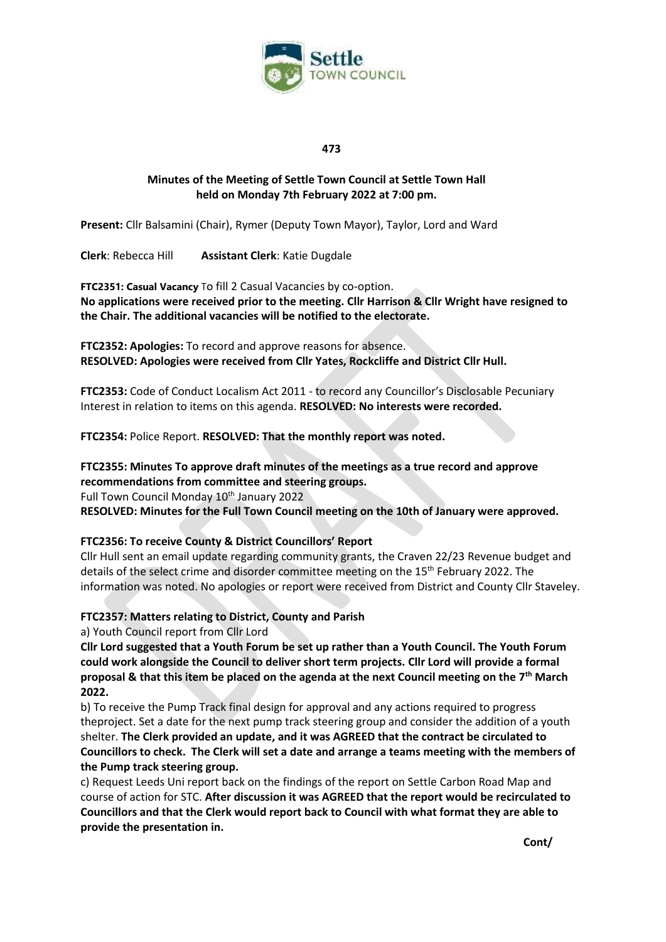

# **Minutes of the Meeting of Settle Town Council at Settle Town Hall held on Monday 7th February 2022 at 7:00 pm.**

**Present:** Cllr Balsamini (Chair), Rymer (Deputy Town Mayor), Taylor, Lord and Ward

**Clerk**: Rebecca Hill **Assistant Clerk**: Katie Dugdale

**FTC2351: Casual Vacancy** To fill 2 Casual Vacancies by co-option. **No applications were received prior to the meeting. Cllr Harrison & Cllr Wright have resigned to the Chair. The additional vacancies will be notified to the electorate.**

**FTC2352: Apologies:** To record and approve reasons for absence. **RESOLVED: Apologies were received from Cllr Yates, Rockcliffe and District Cllr Hull.**

**FTC2353:** Code of Conduct Localism Act 2011 - to record any Councillor's Disclosable Pecuniary Interest in relation to items on this agenda. **RESOLVED: No interests were recorded.** 

**FTC2354:** Police Report. **RESOLVED: That the monthly report was noted.** 

# **FTC2355: Minutes To approve draft minutes of the meetings as a true record and approve recommendations from committee and steering groups.**

Full Town Council Monday 10<sup>th</sup> January 2022

**RESOLVED: Minutes for the Full Town Council meeting on the 10th of January were approved.**

# **FTC2356: To receive County & District Councillors' Report**

Cllr Hull sent an email update regarding community grants, the Craven 22/23 Revenue budget and details of the select crime and disorder committee meeting on the  $15<sup>th</sup>$  February 2022. The information was noted. No apologies or report were received from District and County Cllr Staveley.

# **FTC2357: Matters relating to District, County and Parish**

a) Youth Council report from Cllr Lord

**Cllr Lord suggested that a Youth Forum be set up rather than a Youth Council. The Youth Forum could work alongside the Council to deliver short term projects. Cllr Lord will provide a formal proposal & that this item be placed on the agenda at the next Council meeting on the 7 th March 2022.** 

b) To receive the Pump Track final design for approval and any actions required to progress theproject. Set a date for the next pump track steering group and consider the addition of a youth shelter. **The Clerk provided an update, and it was AGREED that the contract be circulated to Councillors to check. The Clerk will set a date and arrange a teams meeting with the members of the Pump track steering group.** 

c) Request Leeds Uni report back on the findings of the report on Settle Carbon Road Map and course of action for STC. **After discussion it was AGREED that the report would be recirculated to Councillors and that the Clerk would report back to Council with what format they are able to provide the presentation in.** 

**Cont/**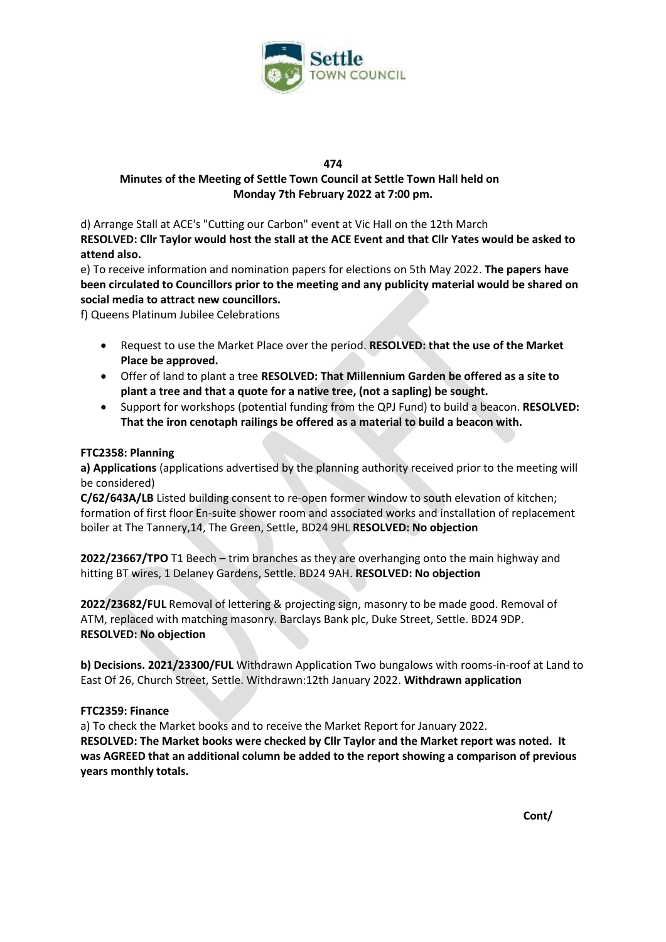

# **Minutes of the Meeting of Settle Town Council at Settle Town Hall held on Monday 7th February 2022 at 7:00 pm.**

d) Arrange Stall at ACE's "Cutting our Carbon" event at Vic Hall on the 12th March **RESOLVED: Cllr Taylor would host the stall at the ACE Event and that Cllr Yates would be asked to attend also.** 

e) To receive information and nomination papers for elections on 5th May 2022. **The papers have been circulated to Councillors prior to the meeting and any publicity material would be shared on social media to attract new councillors.**

f) Queens Platinum Jubilee Celebrations

- Request to use the Market Place over the period. **RESOLVED: that the use of the Market Place be approved.**
- Offer of land to plant a tree **RESOLVED: That Millennium Garden be offered as a site to plant a tree and that a quote for a native tree, (not a sapling) be sought.**
- Support for workshops (potential funding from the QPJ Fund) to build a beacon. **RESOLVED: That the iron cenotaph railings be offered as a material to build a beacon with.**

## **FTC2358: Planning**

**a) Applications** (applications advertised by the planning authority received prior to the meeting will be considered)

**C/62/643A/LB** Listed building consent to re-open former window to south elevation of kitchen; formation of first floor En-suite shower room and associated works and installation of replacement boiler at The Tannery,14, The Green, Settle, BD24 9HL **RESOLVED: No objection** 

**2022/23667/TPO** T1 Beech – trim branches as they are overhanging onto the main highway and hitting BT wires, 1 Delaney Gardens, Settle. BD24 9AH. **RESOLVED: No objection**

**2022/23682/FUL** Removal of lettering & projecting sign, masonry to be made good. Removal of ATM, replaced with matching masonry. Barclays Bank plc, Duke Street, Settle. BD24 9DP. **RESOLVED: No objection**

**b) Decisions. 2021/23300/FUL** Withdrawn Application Two bungalows with rooms-in-roof at Land to East Of 26, Church Street, Settle. Withdrawn:12th January 2022. **Withdrawn application** 

### **FTC2359: Finance**

a) To check the Market books and to receive the Market Report for January 2022. **RESOLVED: The Market books were checked by Cllr Taylor and the Market report was noted. It was AGREED that an additional column be added to the report showing a comparison of previous years monthly totals.**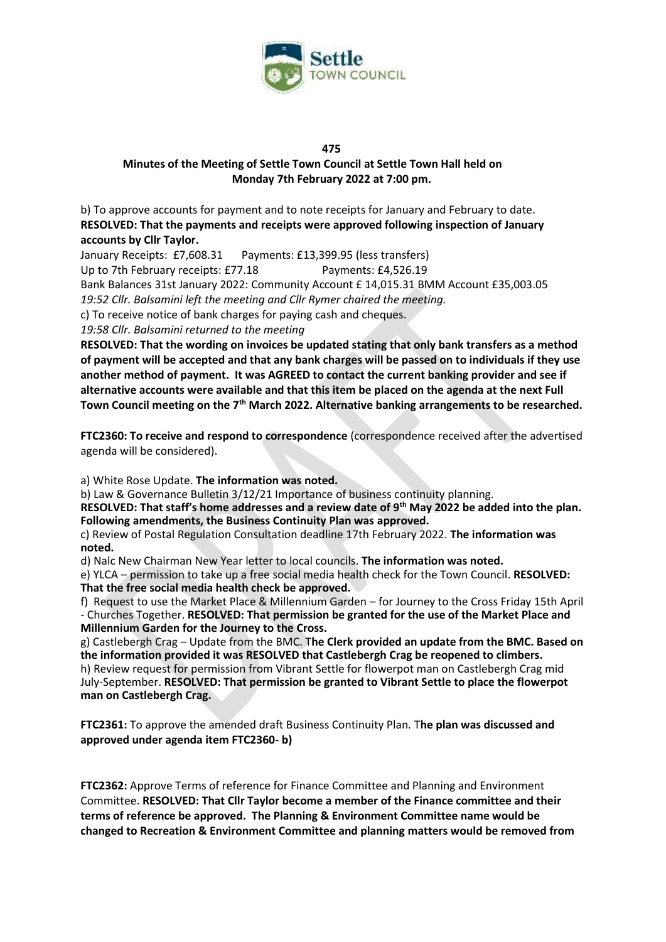

## **Minutes of the Meeting of Settle Town Council at Settle Town Hall held on Monday 7th February 2022 at 7:00 pm.**

b) To approve accounts for payment and to note receipts for January and February to date. **RESOLVED: That the payments and receipts were approved following inspection of January accounts by Cllr Taylor.**

January Receipts: £7,608.31 Payments: £13,399.95 (less transfers)

Up to 7th February receipts: £77.18 Payments: £4,526.19

Bank Balances 31st January 2022: Community Account £ 14,015.31 BMM Account £35,003.05

*19:52 Cllr. Balsamini left the meeting and Cllr Rymer chaired the meeting.*

c) To receive notice of bank charges for paying cash and cheques.

*19:58 Cllr. Balsamini returned to the meeting*

**RESOLVED: That the wording on invoices be updated stating that only bank transfers as a method of payment will be accepted and that any bank charges will be passed on to individuals if they use another method of payment. It was AGREED to contact the current banking provider and see if alternative accounts were available and that this item be placed on the agenda at the next Full Town Council meeting on the 7th March 2022. Alternative banking arrangements to be researched.**

**FTC2360: To receive and respond to correspondence** (correspondence received after the advertised agenda will be considered).

a) White Rose Update. **The information was noted.**

b) Law & Governance Bulletin 3/12/21 Importance of business continuity planning.

**RESOLVED: That staff's home addresses and a review date of 9th May 2022 be added into the plan. Following amendments, the Business Continuity Plan was approved.** 

c) Review of Postal Regulation Consultation deadline 17th February 2022. **The information was noted.**

d) Nalc New Chairman New Year letter to local councils. **The information was noted.** 

e) YLCA – permission to take up a free social media health check for the Town Council. **RESOLVED: That the free social media health check be approved.** 

f) Request to use the Market Place & Millennium Garden – for Journey to the Cross Friday 15th April - Churches Together. **RESOLVED: That permission be granted for the use of the Market Place and Millennium Garden for the Journey to the Cross.** 

g) Castlebergh Crag – Update from the BMC. T**he Clerk provided an update from the BMC. Based on the information provided it was RESOLVED that Castlebergh Crag be reopened to climbers.**  h) Review request for permission from Vibrant Settle for flowerpot man on Castlebergh Crag mid July-September. **RESOLVED: That permission be granted to Vibrant Settle to place the flowerpot man on Castlebergh Crag.** 

**FTC2361:** To approve the amended draft Business Continuity Plan. T**he plan was discussed and approved under agenda item FTC2360- b)** 

**FTC2362:** Approve Terms of reference for Finance Committee and Planning and Environment Committee. **RESOLVED: That Cllr Taylor become a member of the Finance committee and their terms of reference be approved. The Planning & Environment Committee name would be changed to Recreation & Environment Committee and planning matters would be removed from**